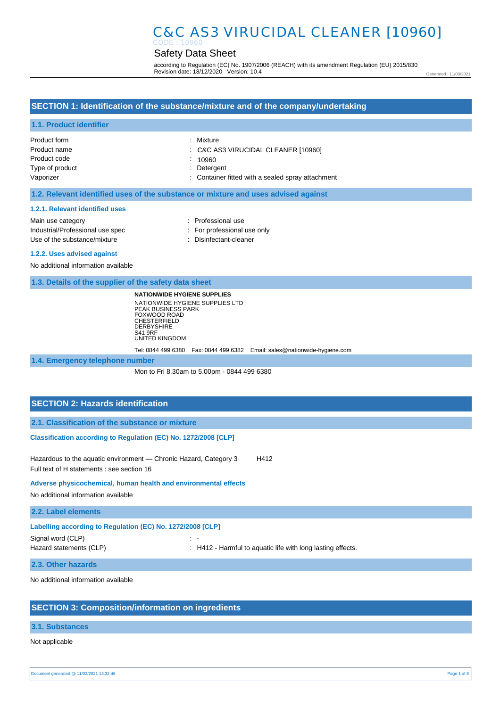# Safety Data Sheet

according to Regulation (EC) No. 1907/2006 (REACH) with its amendment Regulation (EU) 2015/830 Revision date: 18/12/2020 Version: 10.4

Generated : 11/03/2021

# **SECTION 1: Identification of the substance/mixture and of the company/undertaking**

# **1.1. Product identifier**

| Product form    | : Mixture                                         |
|-----------------|---------------------------------------------------|
| Product name    | C&C AS3 VIRUCIDAL CLEANER [10960]                 |
| Product code    | 10960                                             |
| Type of product | : Detergent                                       |
| Vaporizer       | : Container fitted with a sealed spray attachment |

# **1.2. Relevant identified uses of the substance or mixture and uses advised against**

### **1.2.1. Relevant identified uses**

Main use category **Example 20** and the Main use category **in the Contract 20 and 10** and 10 and 10 and 10 and 10 and 10 and 10 and 10 and 10 and 10 and 10 and 10 and 10 and 10 and 10 and 10 and 10 and 10 and 10 and 10 and Industrial/Professional use spec : For professional use only Use of the substance/mixture in the substance in the set of the substance/mixture in the substance of the substance in the substance in the substance in the substance in the substance in the substance in the substance in t

- 
- -

### **1.2.2. Uses advised against**

No additional information available

# **1.3. Details of the supplier of the safety data sheet**

**NATIONWIDE HYGIENE SUPPLIES** NATIONWIDE HYGIENE SUPPLIES LTD PEAK BUSINESS PARK FOXWOOD ROAD CHESTERFIELD DERBYSHIRE S41 9RF UNITED KINGDOM

Tel: 0844 499 6380 Fax: 0844 499 6382 Email: sales@nationwide-hygiene.com

### **1.4. Emergency telephone number**

Mon to Fri 8.30am to 5.00pm - 0844 499 6380

# **SECTION 2: Hazards identification**

**2.1. Classification of the substance or mixture**

### **Classification according to Regulation (EC) No. 1272/2008 [CLP]**

Hazardous to the aquatic environment - Chronic Hazard, Category 3 H412 Full text of H statements : see section 16

### **Adverse physicochemical, human health and environmental effects**

No additional information available

## **2.2. Label elements**

| Labelling according to Regulation (EC) No. 1272/2008 [CLP] |                                                             |
|------------------------------------------------------------|-------------------------------------------------------------|
| Signal word (CLP)                                          | .                                                           |
| Hazard statements (CLP)                                    | : H412 - Harmful to aquatic life with long lasting effects. |
|                                                            |                                                             |

### **2.3. Other hazards**

No additional information available

# **SECTION 3: Composition/information on ingredients**

# **3.1. Substances**

Not applicable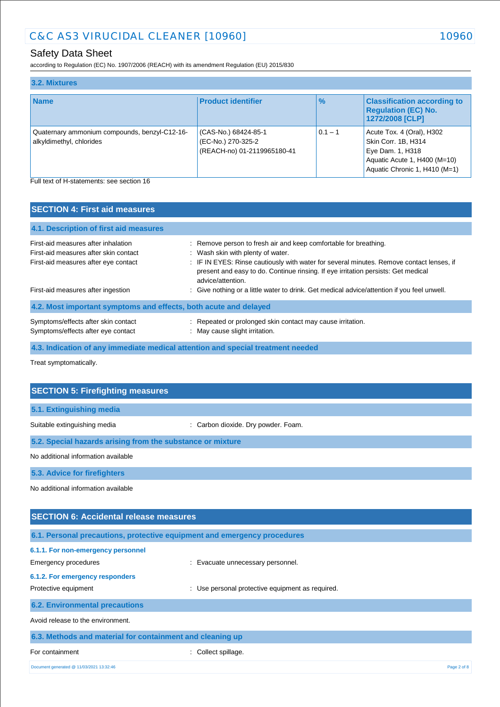# Safety Data Sheet

according to Regulation (EC) No. 1907/2006 (REACH) with its amendment Regulation (EU) 2015/830

| 3.2. Mixtures                                                             |                                                                           |               |                                                                                                                                       |
|---------------------------------------------------------------------------|---------------------------------------------------------------------------|---------------|---------------------------------------------------------------------------------------------------------------------------------------|
| <b>Name</b>                                                               | <b>Product identifier</b>                                                 | $\frac{9}{6}$ | <b>Classification according to</b><br><b>Regulation (EC) No.</b><br>1272/2008 [CLP]                                                   |
| Quaternary ammonium compounds, benzyl-C12-16-<br>alkyldimethyl, chlorides | (CAS-No.) 68424-85-1<br>(EC-No.) 270-325-2<br>(REACH-no) 01-2119965180-41 | $ 0.1 - 1 $   | Acute Tox. 4 (Oral), H302<br>Skin Corr. 1B, H314<br>Eye Dam. 1, H318<br>Aquatic Acute 1, H400 (M=10)<br>Aquatic Chronic 1, H410 (M=1) |

Full text of H-statements: see section 16

| <b>SECTION 4: First aid measures</b>                                                                                 |                                                                                                                                                                                                                                                                                                             |
|----------------------------------------------------------------------------------------------------------------------|-------------------------------------------------------------------------------------------------------------------------------------------------------------------------------------------------------------------------------------------------------------------------------------------------------------|
| 4.1. Description of first aid measures                                                                               |                                                                                                                                                                                                                                                                                                             |
| First-aid measures after inhalation<br>First-aid measures after skin contact<br>First-aid measures after eye contact | : Remove person to fresh air and keep comfortable for breathing.<br>: Wash skin with plenty of water.<br>: IF IN EYES: Rinse cautiously with water for several minutes. Remove contact lenses, if<br>present and easy to do. Continue rinsing. If eye irritation persists: Get medical<br>advice/attention. |
| First-aid measures after ingestion                                                                                   | : Give nothing or a little water to drink. Get medical advice/attention if you feel unwell.                                                                                                                                                                                                                 |
| 4.2. Most important symptoms and effects, both acute and delayed                                                     |                                                                                                                                                                                                                                                                                                             |
| Symptoms/effects after skin contact<br>Symptoms/effects after eye contact                                            | : Repeated or prolonged skin contact may cause irritation.<br>: May cause slight irritation.                                                                                                                                                                                                                |
|                                                                                                                      | 4.3. Indication of any immediate medical attention and special treatment needed                                                                                                                                                                                                                             |

Treat symptomatically.

| <b>SECTION 5: Firefighting measures</b>                                  |                                     |  |
|--------------------------------------------------------------------------|-------------------------------------|--|
|                                                                          |                                     |  |
| 5.1. Extinguishing media                                                 |                                     |  |
| Suitable extinguishing media                                             | : Carbon dioxide. Dry powder. Foam. |  |
| 5.2. Special hazards arising from the substance or mixture               |                                     |  |
| No additional information available                                      |                                     |  |
| 5.3. Advice for firefighters                                             |                                     |  |
| No additional information available                                      |                                     |  |
|                                                                          |                                     |  |
| <b>SECTION 6: Accidental release measures</b>                            |                                     |  |
|                                                                          |                                     |  |
| 6.1. Personal precautions, protective equipment and emergency procedures |                                     |  |
| 6.1.1. For non-emergency personnel                                       |                                     |  |

| Emergency procedures                                      | : Evacuate unnecessary personnel.                |
|-----------------------------------------------------------|--------------------------------------------------|
| 6.1.2. For emergency responders                           |                                                  |
| Protective equipment                                      | : Use personal protective equipment as required. |
| <b>6.2. Environmental precautions</b>                     |                                                  |
| Avoid release to the environment.                         |                                                  |
| 6.3. Methods and material for containment and cleaning up |                                                  |
| For containment                                           | Collect spillage.                                |

Document generated @ 11/03/2021 13:32:46 Page 2 of 8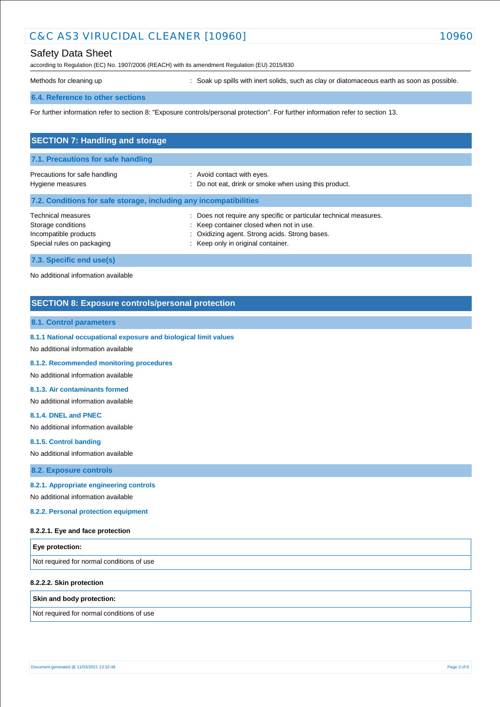# Safety Data Sheet

according to Regulation (EC) No. 1907/2006 (REACH) with its amendment Regulation (EU) 2015/830

Methods for cleaning up **interpret in the spills** with inert solids, such as clay or diatomaceous earth as soon as possible.

# **6.4. Reference to other sections**

For further information refer to section 8: "Exposure controls/personal protection". For further information refer to section 13.

| <b>SECTION 7: Handling and storage</b>                                                                 |                                                                                                                                                                                                          |
|--------------------------------------------------------------------------------------------------------|----------------------------------------------------------------------------------------------------------------------------------------------------------------------------------------------------------|
| 7.1. Precautions for safe handling                                                                     |                                                                                                                                                                                                          |
| Precautions for safe handling<br>Hygiene measures                                                      | : Avoid contact with eyes.<br>: Do not eat, drink or smoke when using this product.                                                                                                                      |
| 7.2. Conditions for safe storage, including any incompatibilities                                      |                                                                                                                                                                                                          |
| <b>Technical measures</b><br>Storage conditions<br>Incompatible products<br>Special rules on packaging | Does not require any specific or particular technical measures.<br>÷<br>: Keep container closed when not in use.<br>: Oxidizing agent. Strong acids. Strong bases.<br>: Keep only in original container. |
| 7.3. Specific end use(s)                                                                               |                                                                                                                                                                                                          |

No additional information available

# **SECTION 8: Exposure controls/personal protection**

## **8.1. Control parameters**

**8.1.1 National occupational exposure and biological limit values** 

No additional information available

**8.1.2. Recommended monitoring procedures** 

No additional information available

### **8.1.3. Air contaminants formed**

No additional information available

### **8.1.4. DNEL and PNEC**

No additional information available

**8.1.5. Control banding** 

No additional information available

**8.2. Exposure controls**

## **8.2.1. Appropriate engineering controls**

No additional information available

**8.2.2. Personal protection equipment** 

### **8.2.2.1. Eye and face protection**

| <b>Eye protection:</b>                    |  |
|-------------------------------------------|--|
| Not required for normal conditions of use |  |

### **8.2.2.2. Skin protection**

### **Skin and body protection:**

Not required for normal conditions of use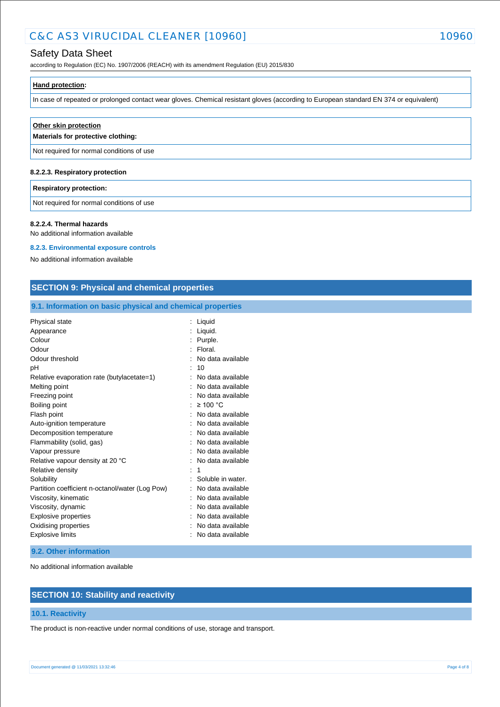# Safety Data Sheet

according to Regulation (EC) No. 1907/2006 (REACH) with its amendment Regulation (EU) 2015/830

| Hand protection: |
|------------------|
|------------------|

In case of repeated or prolonged contact wear gloves. Chemical resistant gloves (according to European standard EN 374 or equivalent)

| Other skin protection<br>Materials for protective clothing: |  |
|-------------------------------------------------------------|--|
| Not required for normal conditions of use                   |  |
| 8.2.2.3. Respiratory protection                             |  |

**Respiratory protection:**

Not required for normal conditions of use

### **8.2.2.4. Thermal hazards**

No additional information available

# **8.2.3. Environmental exposure controls**

No additional information available

# **SECTION 9: Physical and chemical properties**

# **9.1. Information on basic physical and chemical properties**

| Physical state                                  | Liquid            |
|-------------------------------------------------|-------------------|
| Appearance                                      | Liquid.           |
| Colour                                          | Purple.           |
| Odour                                           | Floral.           |
| Odour threshold                                 | No data available |
| рH                                              | 10                |
| Relative evaporation rate (butylacetate=1)      | No data available |
| Melting point                                   | No data available |
| Freezing point                                  | No data available |
| Boiling point                                   | $\geq 100$ °C     |
| Flash point                                     | No data available |
| Auto-ignition temperature                       | No data available |
| Decomposition temperature                       | No data available |
| Flammability (solid, gas)                       | No data available |
| Vapour pressure                                 | No data available |
| Relative vapour density at 20 °C                | No data available |
| Relative density                                | 1                 |
| Solubility                                      | Soluble in water. |
| Partition coefficient n-octanol/water (Log Pow) | No data available |
| Viscosity, kinematic                            | No data available |
| Viscosity, dynamic                              | No data available |
| Explosive properties                            | No data available |
| Oxidising properties                            | No data available |
| <b>Explosive limits</b>                         | No data available |

## **9.2. Other information**

No additional information available

# **SECTION 10: Stability and reactivity**

# **10.1. Reactivity**

The product is non-reactive under normal conditions of use, storage and transport.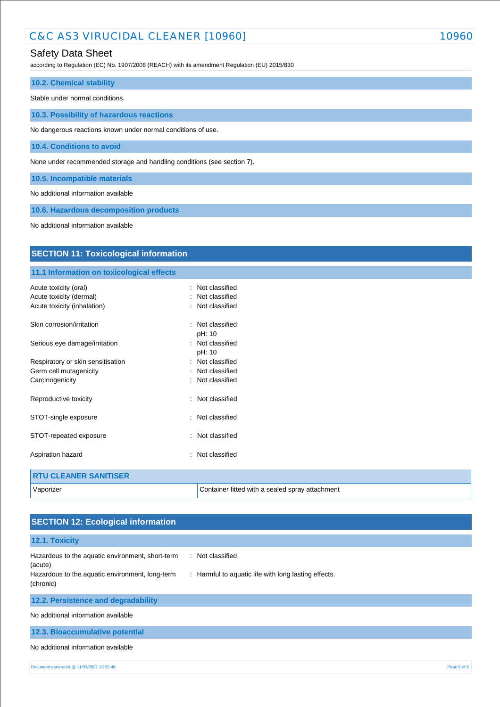# Safety Data Sheet

according to Regulation (EC) No. 1907/2006 (REACH) with its amendment Regulation (EU) 2015/830

| <b>10.2. Chemical stability</b>                                         |
|-------------------------------------------------------------------------|
| Stable under normal conditions.                                         |
| 10.3. Possibility of hazardous reactions                                |
| No dangerous reactions known under normal conditions of use.            |
| 10.4. Conditions to avoid                                               |
| None under recommended storage and handling conditions (see section 7). |
| 10.5. Incompatible materials                                            |
| No additional information available                                     |

**10.6. Hazardous decomposition products**

No additional information available

| <b>SECTION 11: Toxicological information</b> |                                                 |  |  |  |
|----------------------------------------------|-------------------------------------------------|--|--|--|
| 11.1 Information on toxicological effects    |                                                 |  |  |  |
| Acute toxicity (oral)                        | Not classified<br>۰.                            |  |  |  |
| Acute toxicity (dermal)                      | Not classified                                  |  |  |  |
| Acute toxicity (inhalation)                  | Not classified                                  |  |  |  |
| Skin corrosion/irritation                    | : Not classified                                |  |  |  |
|                                              | pH: 10                                          |  |  |  |
| Serious eye damage/irritation                | : Not classified                                |  |  |  |
|                                              | pH: 10                                          |  |  |  |
| Respiratory or skin sensitisation            | : Not classified                                |  |  |  |
| Germ cell mutagenicity                       | : Not classified                                |  |  |  |
| Carcinogenicity                              | : Not classified                                |  |  |  |
| Reproductive toxicity                        | Not classified                                  |  |  |  |
| STOT-single exposure                         | : Not classified                                |  |  |  |
| STOT-repeated exposure                       | Not classified<br>÷                             |  |  |  |
| Aspiration hazard                            | Not classified<br>÷                             |  |  |  |
| <b>RTU CLEANER SANITISER</b>                 |                                                 |  |  |  |
| Vaporizer                                    | Container fitted with a sealed spray attachment |  |  |  |

| <b>SECTION 12: Ecological information</b>                                                                                   |                                                                          |  |  |  |
|-----------------------------------------------------------------------------------------------------------------------------|--------------------------------------------------------------------------|--|--|--|
| 12.1. Toxicity                                                                                                              |                                                                          |  |  |  |
| Hazardous to the aquatic environment, short-term<br>(acute)<br>Hazardous to the aquatic environment, long-term<br>(chronic) | : Not classified<br>: Harmful to aquatic life with long lasting effects. |  |  |  |
| 12.2. Persistence and degradability                                                                                         |                                                                          |  |  |  |
| No additional information available                                                                                         |                                                                          |  |  |  |
| 12.3. Bioaccumulative potential                                                                                             |                                                                          |  |  |  |
| No additional information available                                                                                         |                                                                          |  |  |  |
| Document generated @ 11/03/2021 13:32:46                                                                                    | Page 5 of 8                                                              |  |  |  |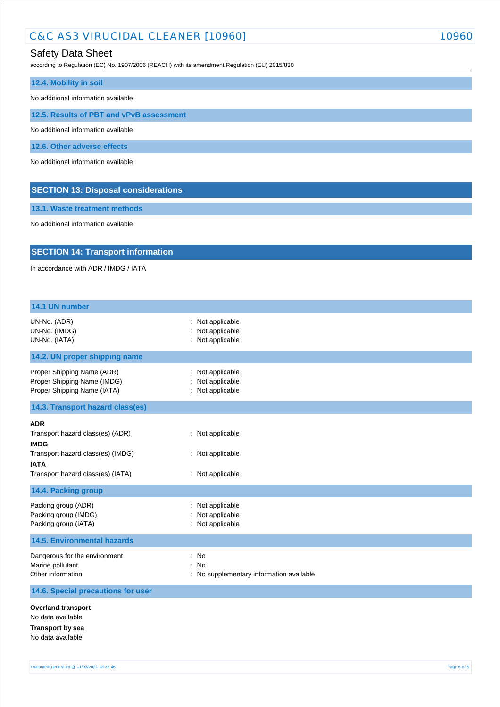# Safety Data Sheet

according to Regulation (EC) No. 1907/2006 (REACH) with its amendment Regulation (EU) 2015/830

| 12.4. Mobility in soil                     |
|--------------------------------------------|
|                                            |
| No additional information available        |
| 12.5. Results of PBT and vPvB assessment   |
| No additional information available        |
| 12.6. Other adverse effects                |
| No additional information available        |
|                                            |
| <b>SECTION 13: Disposal considerations</b> |

**13.1. Waste treatment methods**

No additional information available

# **SECTION 14: Transport information**

In accordance with ADR / IMDG / IATA

| 14.1 UN number                                                                                                                                         |                                                          |
|--------------------------------------------------------------------------------------------------------------------------------------------------------|----------------------------------------------------------|
| UN-No. (ADR)<br>UN-No. (IMDG)<br>UN-No. (IATA)                                                                                                         | Not applicable<br>Not applicable<br>: Not applicable     |
| 14.2. UN proper shipping name                                                                                                                          |                                                          |
| Proper Shipping Name (ADR)<br>Proper Shipping Name (IMDG)<br>Proper Shipping Name (IATA)                                                               | : Not applicable<br>Not applicable<br>: Not applicable   |
| 14.3. Transport hazard class(es)                                                                                                                       |                                                          |
| <b>ADR</b><br>Transport hazard class(es) (ADR)<br><b>IMDG</b><br>Transport hazard class(es) (IMDG)<br><b>IATA</b><br>Transport hazard class(es) (IATA) | : Not applicable<br>: Not applicable<br>: Not applicable |
| 14.4. Packing group                                                                                                                                    |                                                          |
| Packing group (ADR)<br>Packing group (IMDG)<br>Packing group (IATA)<br><b>14.5. Environmental hazards</b>                                              | Not applicable<br>Not applicable<br>: Not applicable     |
| Dangerous for the environment<br>Marine pollutant<br>Other information                                                                                 | : No<br>: No<br>: No supplementary information available |
| 14.6. Special precautions for user                                                                                                                     |                                                          |
| <b>Overland transport</b><br>No data available<br><b>Transport by sea</b><br>No data available                                                         |                                                          |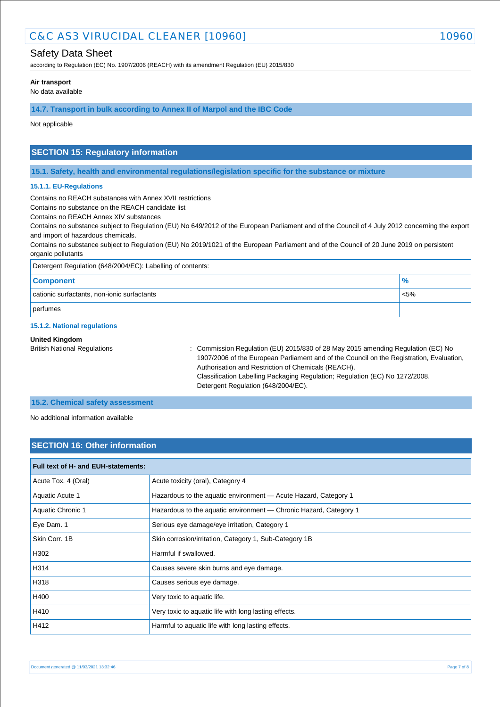# Safety Data Sheet

according to Regulation (EC) No. 1907/2006 (REACH) with its amendment Regulation (EU) 2015/830

### **Air transport**

No data available

# **14.7. Transport in bulk according to Annex II of Marpol and the IBC Code**

Not applicable

# **SECTION 15: Regulatory information**

**15.1. Safety, health and environmental regulations/legislation specific for the substance or mixture**

### **15.1.1. EU-Regulations**

Contains no REACH substances with Annex XVII restrictions

Contains no substance on the REACH candidate list

Contains no REACH Annex XIV substances

Contains no substance subject to Regulation (EU) No 649/2012 of the European Parliament and of the Council of 4 July 2012 concerning the export and import of hazardous chemicals.

Contains no substance subject to Regulation (EU) No 2019/1021 of the European Parliament and of the Council of 20 June 2019 on persistent organic pollutants

| Detergent Regulation (648/2004/EC): Labelling of contents: |               |  |
|------------------------------------------------------------|---------------|--|
| <b>Component</b>                                           | $\frac{9}{6}$ |  |
| cationic surfactants, non-ionic surfactants                | $< 5\%$       |  |
| perfumes                                                   |               |  |

## **15.1.2. National regulations**

### **United Kingdom**

British National Regulations : Commission Regulation (EU) 2015/830 of 28 May 2015 amending Regulation (EC) No 1907/2006 of the European Parliament and of the Council on the Registration, Evaluation, Authorisation and Restriction of Chemicals (REACH). Classification Labelling Packaging Regulation; Regulation (EC) No 1272/2008. Detergent Regulation (648/2004/EC).

## **15.2. Chemical safety assessment**

No additional information available

# **SECTION 16: Other information**

| Full text of H- and EUH-statements: |                                                                   |  |  |  |
|-------------------------------------|-------------------------------------------------------------------|--|--|--|
| Acute Tox. 4 (Oral)                 | Acute toxicity (oral), Category 4                                 |  |  |  |
| Aquatic Acute 1                     | Hazardous to the aquatic environment - Acute Hazard, Category 1   |  |  |  |
| Aquatic Chronic 1                   | Hazardous to the aquatic environment - Chronic Hazard, Category 1 |  |  |  |
| Eye Dam. 1                          | Serious eye damage/eye irritation, Category 1                     |  |  |  |
| Skin Corr. 1B                       | Skin corrosion/irritation, Category 1, Sub-Category 1B            |  |  |  |
| H302                                | Harmful if swallowed.                                             |  |  |  |
| H314                                | Causes severe skin burns and eye damage.                          |  |  |  |
| H318                                | Causes serious eye damage.                                        |  |  |  |
| H400                                | Very toxic to aquatic life.                                       |  |  |  |
| H410                                | Very toxic to aquatic life with long lasting effects.             |  |  |  |
| H412                                | Harmful to aquatic life with long lasting effects.                |  |  |  |